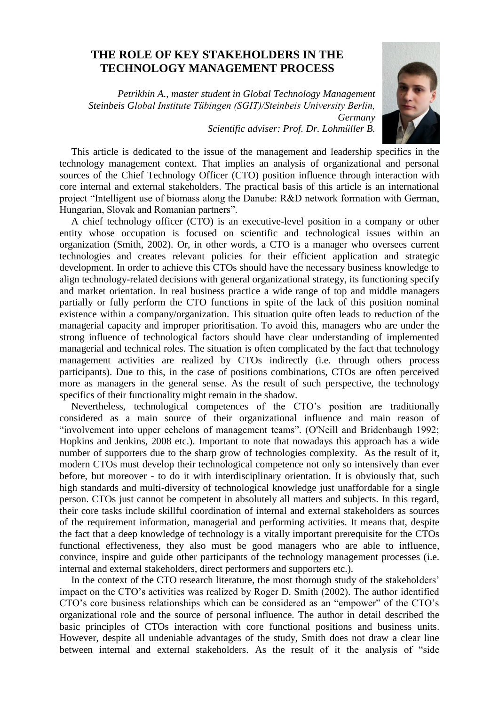## **THE ROLE OF KEY STAKEHOLDERS IN THE TECHNOLOGY MANAGEMENT PROCESS**

*Petrikhin A., master student in Global Technology Management Steinbeis Global Institute Tübingen (SGIT)/Steinbeis University Berlin, Germany*



*Scientific adviser: Prof. Dr. Lohmüller B.*

This article is dedicated to the issue of the management and leadership specifics in the technology management context. That implies an analysis of organizational and personal sources of the Chief Technology Officer (CTO) position influence through interaction with core internal and external stakeholders. The practical basis of this article is an international project "Intelligent use of biomass along the Danube: R&D network formation with German, Hungarian, Slovak and Romanian partners".

A chief technology officer (CTO) is an executive-level position in a company or other entity whose occupation is focused on scientific and technological issues within an organization (Smith, 2002). Or, in other words, a CTO is a manager who oversees current technologies and creates relevant policies for their efficient application and strategic development. In order to achieve this CTOs should have the necessary business knowledge to align technology-related decisions with general organizational strategy, its functioning specify and market orientation. In real business practice a wide range of top and middle managers partially or fully perform the CTO functions in spite of the lack of this position nominal existence within a company/organization. This situation quite often leads to reduction of the managerial capacity and improper prioritisation. To avoid this, managers who are under the strong influence of technological factors should have clear understanding of implemented managerial and technical roles. The situation is often complicated by the fact that technology management activities are realized by CTOs indirectly (i.e. through others process participants). Due to this, in the case of positions combinations, CTOs are often perceived more as managers in the general sense. As the result of such perspective, the technology specifics of their functionality might remain in the shadow.

Nevertheless, technological competences of the CTO's position are traditionally considered as a main source of their organizational influence and main reason of "involvement into upper echelons of management teams". (O'Neill and Bridenbaugh 1992; Hopkins and Jenkins, 2008 etc.). Important to note that nowadays this approach has a wide number of supporters due to the sharp grow of technologies complexity. As the result of it, modern CTOs must develop their technological competence not only so intensively than ever before, but moreover - to do it with interdisciplinary orientation. It is obviously that, such high standards and multi-diversity of technological knowledge just unaffordable for a single person. CTOs just cannot be competent in absolutely all matters and subjects. In this regard, their core tasks include skillful coordination of internal and external stakeholders as sources of the requirement information, managerial and performing activities. It means that, despite the fact that a deep knowledge of technology is a vitally important prerequisite for the CTOs functional effectiveness, they also must be good managers who are able to influence, convince, inspire and guide other participants of the technology management processes (i.e. internal and external stakeholders, direct performers and supporters etc.).

In the context of the CTO research literature, the most thorough study of the stakeholders' impact on the CTO's activities was realized by Roger D. Smith (2002). The author identified CTO's core business relationships which can be considered as an "empower" of the CTO's organizational role and the source of personal influence. The author in detail described the basic principles of CTOs interaction with core functional positions and business units. However, despite all undeniable advantages of the study, Smith does not draw a clear line between internal and external stakeholders. As the result of it the analysis of "side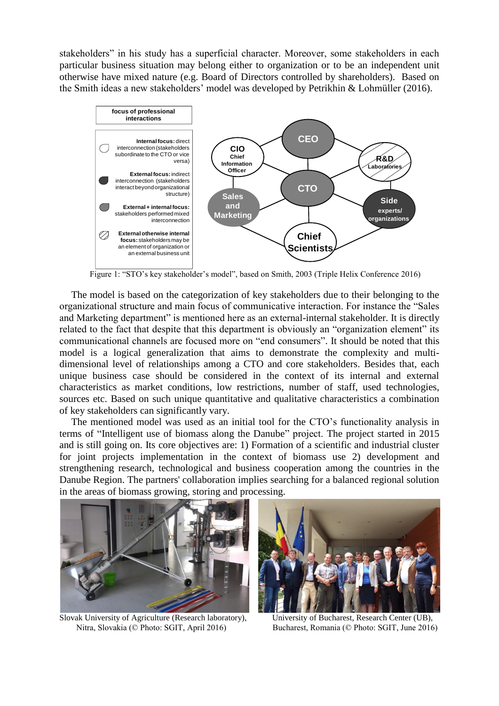stakeholders" in his study has a superficial character. Moreover, some stakeholders in each particular business situation may belong either to organization or to be an independent unit otherwise have mixed nature (e.g. Board of Directors controlled by shareholders). Based on the Smith ideas a new stakeholders' model was developed by Petrikhin & Lohmüller (2016).



Figure 1: "STO's key stakeholder's model", based on Smith, 2003 (Triple Helix Conference 2016)

The model is based on the categorization of key stakeholders due to their belonging to the organizational structure and main focus of communicative interaction. For instance the "Sales and Marketing department" is mentioned here as an external-internal stakeholder. It is directly related to the fact that despite that this department is obviously an "organization element" its communicational channels are focused more on "end consumers". It should be noted that this model is a logical generalization that aims to demonstrate the complexity and multidimensional level of relationships among a CTO and core stakeholders. Besides that, each unique business case should be considered in the context of its internal and external characteristics as market conditions, low restrictions, number of staff, used technologies, sources etc. Based on such unique quantitative and qualitative characteristics a combination of key stakeholders can significantly vary.

The mentioned model was used as an initial tool for the CTO's functionality analysis in terms of "Intelligent use of biomass along the Danube" project. The project started in 2015 and is still going on. Its core objectives are: 1) Formation of a scientific and industrial cluster for joint projects implementation in the context of biomass use 2) development and strengthening research, technological and business cooperation among the countries in the Danube Region. The partners' collaboration implies searching for a balanced regional solution in the areas of biomass growing, storing and processing.



Slovak University of Agriculture (Research laboratory), University of Bucharest, Research Center (UB), Nitra, Slovakia (© Photo: SGIT, April 2016) Bucharest, Romania (© Photo: SGIT, June 2016)

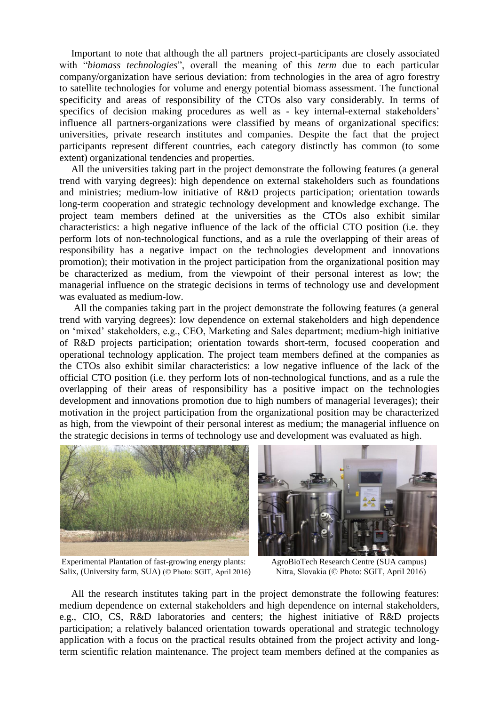Important to note that although the all partners project-participants are closely associated with "*biomass technologies*", overall the meaning of this *term* due to each particular company/organization have serious deviation: from technologies in the area of agro forestry to satellite technologies for volume and energy potential biomass assessment. The functional specificity and areas of responsibility of the CTOs also vary considerably. In terms of specifics of decision making procedures as well as - key internal-external stakeholders' influence all partners-organizations were classified by means of organizational specifics: universities, private research institutes and companies. Despite the fact that the project participants represent different countries, each category distinctly has common (to some extent) organizational tendencies and properties.

All the universities taking part in the project demonstrate the following features (a general trend with varying degrees): high dependence on external stakeholders such as foundations and ministries; medium-low initiative of R&D projects participation; orientation towards long-term cooperation and strategic technology development and knowledge exchange. The project team members defined at the universities as the CTOs also exhibit similar characteristics: a high negative influence of the lack of the official CTO position (i.e. they perform lots of non-technological functions, and as a rule the overlapping of their areas of responsibility has a negative impact on the technologies development and innovations promotion); their motivation in the project participation from the organizational position may be characterized as medium, from the viewpoint of their personal interest as low; the managerial influence on the strategic decisions in terms of technology use and development was evaluated as medium-low.

All the companies taking part in the project demonstrate the following features (a general trend with varying degrees): low dependence on external stakeholders and high dependence on 'mixed' stakeholders, e.g., CEO, Marketing and Sales department; medium-high initiative of R&D projects participation; orientation towards short-term, focused cooperation and operational technology application. The project team members defined at the companies as the CTOs also exhibit similar characteristics: a low negative influence of the lack of the official CTO position (i.e. they perform lots of non-technological functions, and as a rule the overlapping of their areas of responsibility has a positive impact on the technologies development and innovations promotion due to high numbers of managerial leverages); their motivation in the project participation from the organizational position may be characterized as high, from the viewpoint of their personal interest as medium; the managerial influence on the strategic decisions in terms of technology use and development was evaluated as high.



Experimental Plantation of fast-growing energy plants: AgroBioTech Research Centre (SUA campus) Salix, (University farm, SUA) (© Photo: SGIT, April 2016) Nitra, Slovakia (© Photo: SGIT, April 2016)



All the research institutes taking part in the project demonstrate the following features: medium dependence on external stakeholders and high dependence on internal stakeholders, e.g., CIO, CS, R&D laboratories and centers; the highest initiative of R&D projects participation; a relatively balanced orientation towards operational and strategic technology application with a focus on the practical results obtained from the project activity and longterm scientific relation maintenance. The project team members defined at the companies as